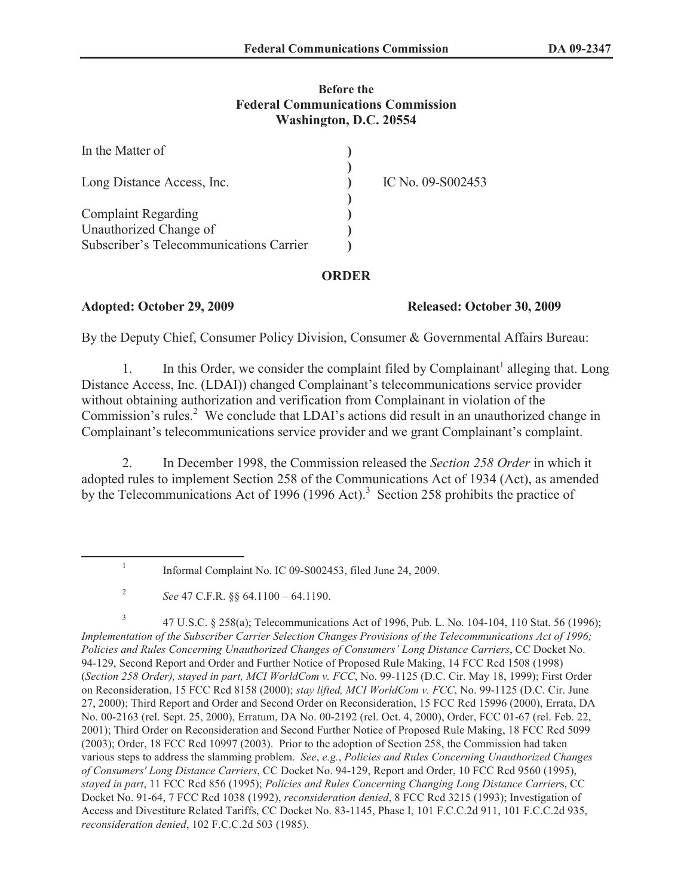## **Before the Federal Communications Commission Washington, D.C. 20554**

| IC No. 09-S002453 |
|-------------------|
|                   |
|                   |

## **ORDER**

## **Adopted: October 29, 2009 Released: October 30, 2009**

By the Deputy Chief, Consumer Policy Division, Consumer & Governmental Affairs Bureau:

1. In this Order, we consider the complaint filed by Complainant<sup>1</sup> alleging that. Long Distance Access, Inc. (LDAI)) changed Complainant's telecommunications service provider without obtaining authorization and verification from Complainant in violation of the Commission's rules.<sup>2</sup> We conclude that LDAI's actions did result in an unauthorized change in Complainant's telecommunications service provider and we grant Complainant's complaint.

2. In December 1998, the Commission released the *Section 258 Order* in which it adopted rules to implement Section 258 of the Communications Act of 1934 (Act), as amended by the Telecommunications Act of 1996 (1996 Act).<sup>3</sup> Section 258 prohibits the practice of

<sup>1</sup> Informal Complaint No. IC 09-S002453, filed June 24, 2009.

<sup>2</sup> *See* 47 C.F.R. §§ 64.1100 – 64.1190.

<sup>3</sup> 47 U.S.C. § 258(a); Telecommunications Act of 1996, Pub. L. No. 104-104, 110 Stat. 56 (1996); *Implementation of the Subscriber Carrier Selection Changes Provisions of the Telecommunications Act of 1996; Policies and Rules Concerning Unauthorized Changes of Consumers' Long Distance Carriers*, CC Docket No. 94-129, Second Report and Order and Further Notice of Proposed Rule Making, 14 FCC Rcd 1508 (1998) (*Section 258 Order), stayed in part, MCI WorldCom v. FCC*, No. 99-1125 (D.C. Cir. May 18, 1999); First Order on Reconsideration, 15 FCC Rcd 8158 (2000); *stay lifted, MCI WorldCom v. FCC*, No. 99-1125 (D.C. Cir. June 27, 2000); Third Report and Order and Second Order on Reconsideration, 15 FCC Rcd 15996 (2000), Errata, DA No. 00-2163 (rel. Sept. 25, 2000), Erratum, DA No. 00-2192 (rel. Oct. 4, 2000), Order, FCC 01-67 (rel. Feb. 22, 2001); Third Order on Reconsideration and Second Further Notice of Proposed Rule Making, 18 FCC Rcd 5099 (2003); Order, 18 FCC Rcd 10997 (2003). Prior to the adoption of Section 258, the Commission had taken various steps to address the slamming problem. *See*, *e.g.*, *Policies and Rules Concerning Unauthorized Changes of Consumers' Long Distance Carriers*, CC Docket No. 94-129, Report and Order, 10 FCC Rcd 9560 (1995), *stayed in part*, 11 FCC Rcd 856 (1995); *Policies and Rules Concerning Changing Long Distance Carrier*s, CC Docket No. 91-64, 7 FCC Rcd 1038 (1992), *reconsideration denied*, 8 FCC Rcd 3215 (1993); Investigation of Access and Divestiture Related Tariffs, CC Docket No. 83-1145, Phase I, 101 F.C.C.2d 911, 101 F.C.C.2d 935, *reconsideration denied*, 102 F.C.C.2d 503 (1985).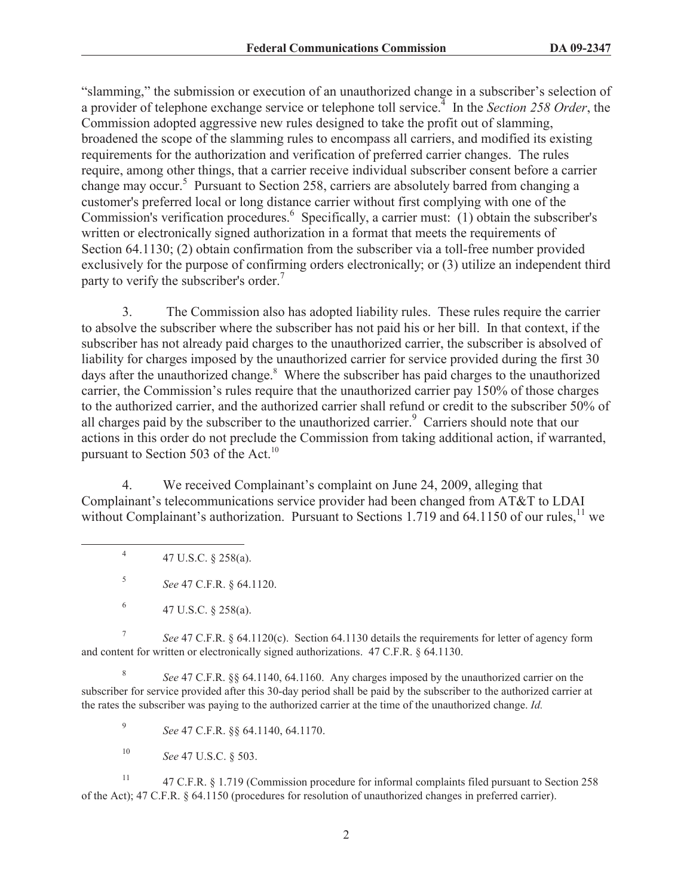"slamming," the submission or execution of an unauthorized change in a subscriber's selection of a provider of telephone exchange service or telephone toll service.<sup>4</sup> In the *Section 258 Order*, the Commission adopted aggressive new rules designed to take the profit out of slamming, broadened the scope of the slamming rules to encompass all carriers, and modified its existing requirements for the authorization and verification of preferred carrier changes. The rules require, among other things, that a carrier receive individual subscriber consent before a carrier change may occur.<sup>5</sup> Pursuant to Section 258, carriers are absolutely barred from changing a customer's preferred local or long distance carrier without first complying with one of the Commission's verification procedures.<sup>6</sup> Specifically, a carrier must: (1) obtain the subscriber's written or electronically signed authorization in a format that meets the requirements of Section 64.1130; (2) obtain confirmation from the subscriber via a toll-free number provided exclusively for the purpose of confirming orders electronically; or (3) utilize an independent third party to verify the subscriber's order.<sup>7</sup>

3. The Commission also has adopted liability rules. These rules require the carrier to absolve the subscriber where the subscriber has not paid his or her bill. In that context, if the subscriber has not already paid charges to the unauthorized carrier, the subscriber is absolved of liability for charges imposed by the unauthorized carrier for service provided during the first 30 days after the unauthorized change.<sup>8</sup> Where the subscriber has paid charges to the unauthorized carrier, the Commission's rules require that the unauthorized carrier pay 150% of those charges to the authorized carrier, and the authorized carrier shall refund or credit to the subscriber 50% of all charges paid by the subscriber to the unauthorized carrier.<sup>9</sup> Carriers should note that our actions in this order do not preclude the Commission from taking additional action, if warranted, pursuant to Section 503 of the Act.<sup>10</sup>

4. We received Complainant's complaint on June 24, 2009, alleging that Complainant's telecommunications service provider had been changed from AT&T to LDAI without Complainant's authorization. Pursuant to Sections 1.719 and 64.1150 of our rules, $^{11}$  we

4 47 U.S.C. § 258(a).

5 *See* 47 C.F.R. § 64.1120.

7 *See* 47 C.F.R. § 64.1120(c). Section 64.1130 details the requirements for letter of agency form and content for written or electronically signed authorizations. 47 C.F.R. § 64.1130.

8 *See* 47 C.F.R. §§ 64.1140, 64.1160. Any charges imposed by the unauthorized carrier on the subscriber for service provided after this 30-day period shall be paid by the subscriber to the authorized carrier at the rates the subscriber was paying to the authorized carrier at the time of the unauthorized change. *Id.*

9 *See* 47 C.F.R. §§ 64.1140, 64.1170.

<sup>10</sup> *See* 47 U.S.C. § 503.

<sup>11</sup> 47 C.F.R. § 1.719 (Commission procedure for informal complaints filed pursuant to Section 258 of the Act); 47 C.F.R. § 64.1150 (procedures for resolution of unauthorized changes in preferred carrier).

<sup>6</sup> 47 U.S.C. § 258(a).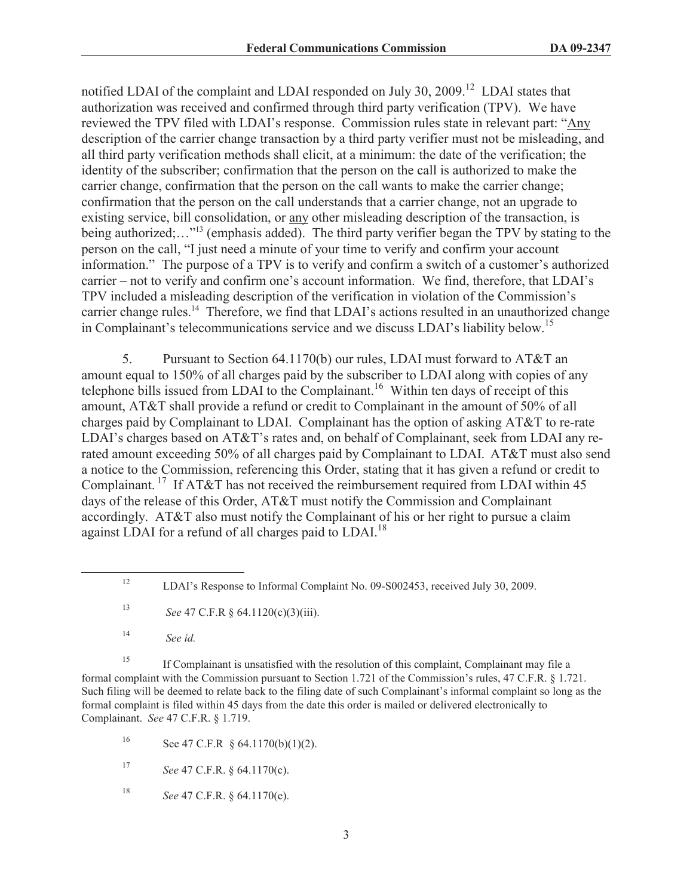notified LDAI of the complaint and LDAI responded on July 30, 2009.<sup>12</sup> LDAI states that authorization was received and confirmed through third party verification (TPV). We have reviewed the TPV filed with LDAI's response. Commission rules state in relevant part: "Any description of the carrier change transaction by a third party verifier must not be misleading, and all third party verification methods shall elicit, at a minimum: the date of the verification; the identity of the subscriber; confirmation that the person on the call is authorized to make the carrier change, confirmation that the person on the call wants to make the carrier change; confirmation that the person on the call understands that a carrier change, not an upgrade to existing service, bill consolidation, or any other misleading description of the transaction, is being authorized;..."<sup>13</sup> (emphasis added). The third party verifier began the TPV by stating to the person on the call, "I just need a minute of your time to verify and confirm your account information." The purpose of a TPV is to verify and confirm a switch of a customer's authorized carrier – not to verify and confirm one's account information. We find, therefore, that LDAI's TPV included a misleading description of the verification in violation of the Commission's carrier change rules.<sup>14</sup> Therefore, we find that LDAI's actions resulted in an unauthorized change in Complainant's telecommunications service and we discuss LDAI's liability below.<sup>15</sup>

5. Pursuant to Section 64.1170(b) our rules, LDAI must forward to AT&T an amount equal to 150% of all charges paid by the subscriber to LDAI along with copies of any telephone bills issued from LDAI to the Complainant.<sup>16</sup> Within ten days of receipt of this amount, AT&T shall provide a refund or credit to Complainant in the amount of 50% of all charges paid by Complainant to LDAI. Complainant has the option of asking AT&T to re-rate LDAI's charges based on AT&T's rates and, on behalf of Complainant, seek from LDAI any rerated amount exceeding 50% of all charges paid by Complainant to LDAI. AT&T must also send a notice to the Commission, referencing this Order, stating that it has given a refund or credit to Complainant.<sup>17</sup> If AT&T has not received the reimbursement required from LDAI within 45 days of the release of this Order, AT&T must notify the Commission and Complainant accordingly. AT&T also must notify the Complainant of his or her right to pursue a claim against LDAI for a refund of all charges paid to LDAI.<sup>18</sup>

<sup>15</sup> If Complainant is unsatisfied with the resolution of this complaint, Complainant may file a formal complaint with the Commission pursuant to Section 1.721 of the Commission's rules, 47 C.F.R. § 1.721. Such filing will be deemed to relate back to the filing date of such Complainant's informal complaint so long as the formal complaint is filed within 45 days from the date this order is mailed or delivered electronically to Complainant. *See* 47 C.F.R. § 1.719.

16 See 47 C.F.R  $§$  64.1170(b)(1)(2).

<sup>17</sup> *See* 47 C.F.R. § 64.1170(c).

<sup>18</sup> *See* 47 C.F.R. § 64.1170(e).

<sup>&</sup>lt;sup>12</sup> LDAI's Response to Informal Complaint No. 09-S002453, received July 30, 2009.

<sup>13</sup> *See* 47 C.F.R § 64.1120(c)(3)(iii).

<sup>14</sup> *See id.*